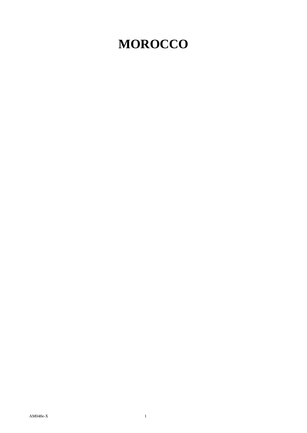# **MOROCCO**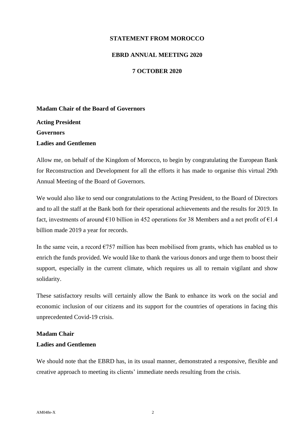## **STATEMENT FROM MOROCCO**

## **EBRD ANNUAL MEETING 2020**

# **7 OCTOBER 2020**

## **Madam Chair of the Board of Governors**

**Acting President Governors Ladies and Gentlemen**

Allow me, on behalf of the Kingdom of Morocco, to begin by congratulating the European Bank for Reconstruction and Development for all the efforts it has made to organise this virtual 29th Annual Meeting of the Board of Governors.

We would also like to send our congratulations to the Acting President, to the Board of Directors and to all the staff at the Bank both for their operational achievements and the results for 2019. In fact, investments of around  $\epsilon$ 10 billion in 452 operations for 38 Members and a net profit of  $\epsilon$ 1.4 billion made 2019 a year for records.

In the same vein, a record  $\epsilon$ 757 million has been mobilised from grants, which has enabled us to enrich the funds provided. We would like to thank the various donors and urge them to boost their support, especially in the current climate, which requires us all to remain vigilant and show solidarity.

These satisfactory results will certainly allow the Bank to enhance its work on the social and economic inclusion of our citizens and its support for the countries of operations in facing this unprecedented Covid-19 crisis.

#### **Madam Chair**

### **Ladies and Gentlemen**

We should note that the EBRD has, in its usual manner, demonstrated a responsive, flexible and creative approach to meeting its clients' immediate needs resulting from the crisis.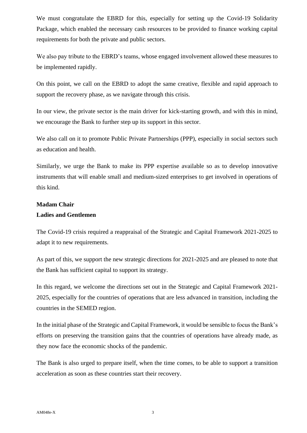We must congratulate the EBRD for this, especially for setting up the Covid-19 Solidarity Package, which enabled the necessary cash resources to be provided to finance working capital requirements for both the private and public sectors.

We also pay tribute to the EBRD's teams, whose engaged involvement allowed these measures to be implemented rapidly.

On this point, we call on the EBRD to adopt the same creative, flexible and rapid approach to support the recovery phase, as we navigate through this crisis.

In our view, the private sector is the main driver for kick-starting growth, and with this in mind, we encourage the Bank to further step up its support in this sector.

We also call on it to promote Public Private Partnerships (PPP), especially in social sectors such as education and health.

Similarly, we urge the Bank to make its PPP expertise available so as to develop innovative instruments that will enable small and medium-sized enterprises to get involved in operations of this kind.

# **Madam Chair**

### **Ladies and Gentlemen**

The Covid-19 crisis required a reappraisal of the Strategic and Capital Framework 2021-2025 to adapt it to new requirements.

As part of this, we support the new strategic directions for 2021-2025 and are pleased to note that the Bank has sufficient capital to support its strategy.

In this regard, we welcome the directions set out in the Strategic and Capital Framework 2021- 2025, especially for the countries of operations that are less advanced in transition, including the countries in the SEMED region.

In the initial phase of the Strategic and Capital Framework, it would be sensible to focus the Bank's efforts on preserving the transition gains that the countries of operations have already made, as they now face the economic shocks of the pandemic.

The Bank is also urged to prepare itself, when the time comes, to be able to support a transition acceleration as soon as these countries start their recovery.